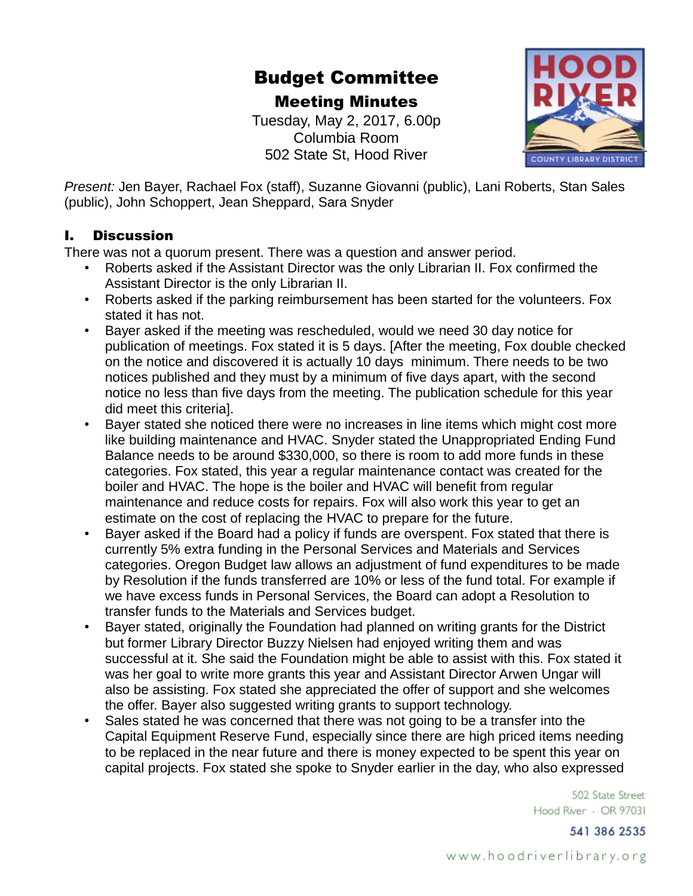## Budget Committee

Meeting Minutes

Tuesday, May 2, 2017, 6.00p Columbia Room 502 State St, Hood River



*Present:* Jen Bayer, Rachael Fox (staff), Suzanne Giovanni (public), Lani Roberts, Stan Sales (public), John Schoppert, Jean Sheppard, Sara Snyder

## I. Discussion

There was not a quorum present. There was a question and answer period.

- Roberts asked if the Assistant Director was the only Librarian II. Fox confirmed the Assistant Director is the only Librarian II.
- Roberts asked if the parking reimbursement has been started for the volunteers. Fox stated it has not.
- Bayer asked if the meeting was rescheduled, would we need 30 day notice for publication of meetings. Fox stated it is 5 days. [After the meeting, Fox double checked on the notice and discovered it is actually 10 days minimum. There needs to be two notices published and they must by a minimum of five days apart, with the second notice no less than five days from the meeting. The publication schedule for this year did meet this criteria].
- Bayer stated she noticed there were no increases in line items which might cost more like building maintenance and HVAC. Snyder stated the Unappropriated Ending Fund Balance needs to be around \$330,000, so there is room to add more funds in these categories. Fox stated, this year a regular maintenance contact was created for the boiler and HVAC. The hope is the boiler and HVAC will benefit from regular maintenance and reduce costs for repairs. Fox will also work this year to get an estimate on the cost of replacing the HVAC to prepare for the future.
- Bayer asked if the Board had a policy if funds are overspent. Fox stated that there is currently 5% extra funding in the Personal Services and Materials and Services categories. Oregon Budget law allows an adjustment of fund expenditures to be made by Resolution if the funds transferred are 10% or less of the fund total. For example if we have excess funds in Personal Services, the Board can adopt a Resolution to transfer funds to the Materials and Services budget.
- Bayer stated, originally the Foundation had planned on writing grants for the District but former Library Director Buzzy Nielsen had enjoyed writing them and was successful at it. She said the Foundation might be able to assist with this. Fox stated it was her goal to write more grants this year and Assistant Director Arwen Ungar will also be assisting. Fox stated she appreciated the offer of support and she welcomes the offer. Bayer also suggested writing grants to support technology.
- Sales stated he was concerned that there was not going to be a transfer into the Capital Equipment Reserve Fund, especially since there are high priced items needing to be replaced in the near future and there is money expected to be spent this year on capital projects. Fox stated she spoke to Snyder earlier in the day, who also expressed

502 State Street Hood River - OR 97031

541 386 2535